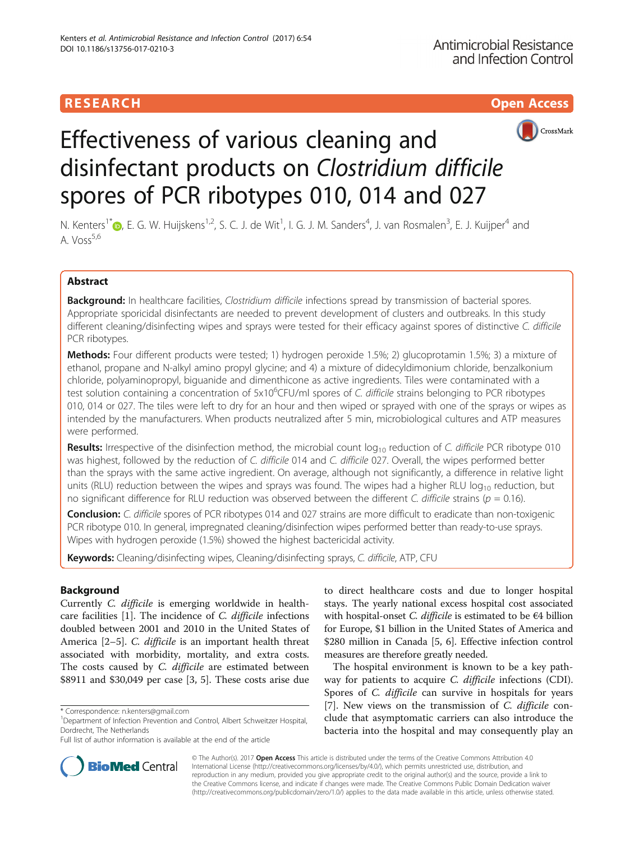

# Effectiveness of various cleaning and disinfectant products on Clostridium difficile spores of PCR ribotypes 010, 014 and 027

N. Kenters<sup>1\*</sup>®[,](http://orcid.org/0000-0002-1413-5518) E. G. W. Huijskens<sup>1,2</sup>, S. C. J. de Wit<sup>1</sup>, I. G. J. M. Sanders<sup>4</sup>, J. van Rosmalen<sup>3</sup>, E. J. Kuijper<sup>4</sup> and A.  $V$ oss<sup>5,6</sup>

### Abstract

Background: In healthcare facilities, Clostridium difficile infections spread by transmission of bacterial spores. Appropriate sporicidal disinfectants are needed to prevent development of clusters and outbreaks. In this study different cleaning/disinfecting wipes and sprays were tested for their efficacy against spores of distinctive C. difficile PCR ribotypes.

Methods: Four different products were tested; 1) hydrogen peroxide 1.5%; 2) glucoprotamin 1.5%; 3) a mixture of ethanol, propane and N-alkyl amino propyl glycine; and 4) a mixture of didecyldimonium chloride, benzalkonium chloride, polyaminopropyl, biguanide and dimenthicone as active ingredients. Tiles were contaminated with a test solution containing a concentration of 5x10<sup>6</sup>CFU/ml spores of C. difficile strains belonging to PCR ribotypes 010, 014 or 027. The tiles were left to dry for an hour and then wiped or sprayed with one of the sprays or wipes as intended by the manufacturers. When products neutralized after 5 min, microbiological cultures and ATP measures were performed.

**Results:** Irrespective of the disinfection method, the microbial count  $log_{10}$  reduction of C. difficile PCR ribotype 010 was highest, followed by the reduction of C. difficile 014 and C. difficile 027. Overall, the wipes performed better than the sprays with the same active ingredient. On average, although not significantly, a difference in relative light units (RLU) reduction between the wipes and sprays was found. The wipes had a higher RLU  $log_{10}$  reduction, but no significant difference for RLU reduction was observed between the different C. difficile strains ( $p = 0.16$ ).

Conclusion: C. difficile spores of PCR ribotypes 014 and 027 strains are more difficult to eradicate than non-toxigenic PCR ribotype 010. In general, impregnated cleaning/disinfection wipes performed better than ready-to-use sprays. Wipes with hydrogen peroxide (1.5%) showed the highest bactericidal activity.

Keywords: Cleaning/disinfecting wipes, Cleaning/disinfecting sprays, C. difficile, ATP, CFU

### Background

Currently C. difficile is emerging worldwide in healthcare facilities [\[1](#page-6-0)]. The incidence of C. difficile infections doubled between 2001 and 2010 in the United States of America [\[2](#page-6-0)–[5\]](#page-6-0). C. difficile is an important health threat associated with morbidity, mortality, and extra costs. The costs caused by C. difficile are estimated between \$8911 and \$30,049 per case [\[3, 5](#page-6-0)]. These costs arise due

to direct healthcare costs and due to longer hospital stays. The yearly national excess hospital cost associated with hospital-onset *C. difficile* is estimated to be  $\epsilon$ 4 billion for Europe, \$1 billion in the United States of America and \$280 million in Canada [\[5](#page-6-0), [6\]](#page-6-0). Effective infection control measures are therefore greatly needed.

The hospital environment is known to be a key pathway for patients to acquire *C. difficile* infections (CDI). Spores of C. difficile can survive in hospitals for years [[7\]](#page-6-0). New views on the transmission of C. difficile conclude that asymptomatic carriers can also introduce the bacteria into the hospital and may consequently play an



© The Author(s). 2017 **Open Access** This article is distributed under the terms of the Creative Commons Attribution 4.0 International License [\(http://creativecommons.org/licenses/by/4.0/](http://creativecommons.org/licenses/by/4.0/)), which permits unrestricted use, distribution, and reproduction in any medium, provided you give appropriate credit to the original author(s) and the source, provide a link to the Creative Commons license, and indicate if changes were made. The Creative Commons Public Domain Dedication waiver [\(http://creativecommons.org/publicdomain/zero/1.0/](http://creativecommons.org/publicdomain/zero/1.0/)) applies to the data made available in this article, unless otherwise stated.

<sup>\*</sup> Correspondence: [n.kenters@gmail.com](mailto:n.kenters@gmail.com) <sup>1</sup>

<sup>&</sup>lt;sup>1</sup>Department of Infection Prevention and Control, Albert Schweitzer Hospital, Dordrecht, The Netherlands

Full list of author information is available at the end of the article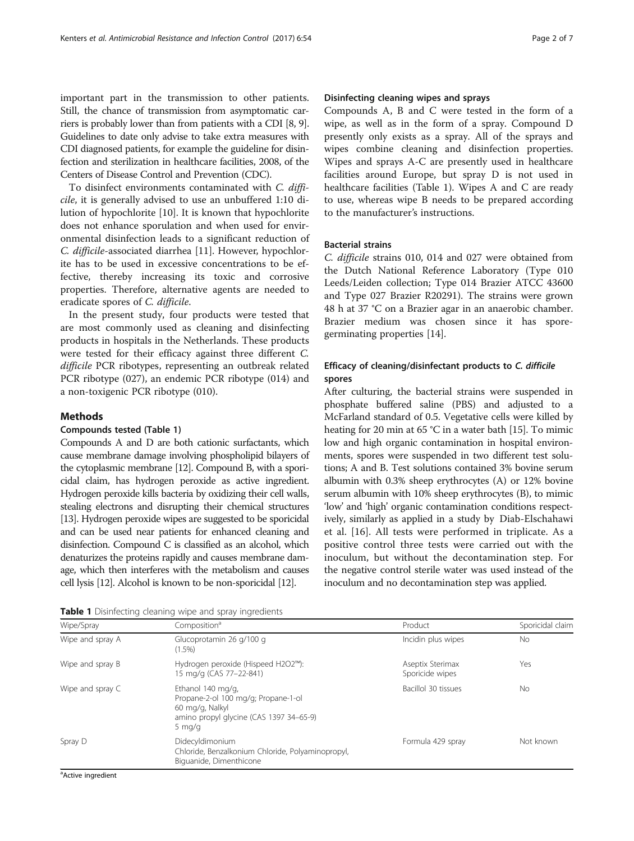important part in the transmission to other patients. Still, the chance of transmission from asymptomatic carriers is probably lower than from patients with a CDI [\[8](#page-6-0), [9](#page-6-0)]. Guidelines to date only advise to take extra measures with CDI diagnosed patients, for example the guideline for disinfection and sterilization in healthcare facilities, 2008, of the Centers of Disease Control and Prevention (CDC).

To disinfect environments contaminated with C. difficile, it is generally advised to use an unbuffered 1:10 dilution of hypochlorite [[10](#page-6-0)]. It is known that hypochlorite does not enhance sporulation and when used for environmental disinfection leads to a significant reduction of C. difficile-associated diarrhea [\[11](#page-6-0)]. However, hypochlorite has to be used in excessive concentrations to be effective, thereby increasing its toxic and corrosive properties. Therefore, alternative agents are needed to eradicate spores of C. difficile.

In the present study, four products were tested that are most commonly used as cleaning and disinfecting products in hospitals in the Netherlands. These products were tested for their efficacy against three different C. difficile PCR ribotypes, representing an outbreak related PCR ribotype (027), an endemic PCR ribotype (014) and a non-toxigenic PCR ribotype (010).

#### Methods

#### Compounds tested (Table 1)

Compounds A and D are both cationic surfactants, which cause membrane damage involving phospholipid bilayers of the cytoplasmic membrane [\[12\]](#page-6-0). Compound B, with a sporicidal claim, has hydrogen peroxide as active ingredient. Hydrogen peroxide kills bacteria by oxidizing their cell walls, stealing electrons and disrupting their chemical structures [[13\]](#page-6-0). Hydrogen peroxide wipes are suggested to be sporicidal and can be used near patients for enhanced cleaning and disinfection. Compound C is classified as an alcohol, which denaturizes the proteins rapidly and causes membrane damage, which then interferes with the metabolism and causes cell lysis [[12\]](#page-6-0). Alcohol is known to be non-sporicidal [\[12](#page-6-0)].

#### Disinfecting cleaning wipes and sprays

Compounds A, B and C were tested in the form of a wipe, as well as in the form of a spray. Compound D presently only exists as a spray. All of the sprays and wipes combine cleaning and disinfection properties. Wipes and sprays A-C are presently used in healthcare facilities around Europe, but spray D is not used in healthcare facilities (Table 1). Wipes A and C are ready to use, whereas wipe B needs to be prepared according to the manufacturer's instructions.

#### Bacterial strains

C. difficile strains 010, 014 and 027 were obtained from the Dutch National Reference Laboratory (Type 010 Leeds/Leiden collection; Type 014 Brazier ATCC 43600 and Type 027 Brazier R20291). The strains were grown 48 h at 37 °C on a Brazier agar in an anaerobic chamber. Brazier medium was chosen since it has sporegerminating properties [\[14\]](#page-6-0).

#### Efficacy of cleaning/disinfectant products to C. difficile spores

After culturing, the bacterial strains were suspended in phosphate buffered saline (PBS) and adjusted to a McFarland standard of 0.5. Vegetative cells were killed by heating for 20 min at 65 °C in a water bath [\[15](#page-6-0)]. To mimic low and high organic contamination in hospital environments, spores were suspended in two different test solutions; A and B. Test solutions contained 3% bovine serum albumin with 0.3% sheep erythrocytes (A) or 12% bovine serum albumin with 10% sheep erythrocytes (B), to mimic 'low' and 'high' organic contamination conditions respectively, similarly as applied in a study by Diab-Elschahawi et al. [\[16](#page-6-0)]. All tests were performed in triplicate. As a positive control three tests were carried out with the inoculum, but without the decontamination step. For the negative control sterile water was used instead of the inoculum and no decontamination step was applied.

Table 1 Disinfecting cleaning wipe and spray ingredients

| Wipe/Spray         | Composition <sup>a</sup>                                                                                                           | Product                             | Sporicidal claim |
|--------------------|------------------------------------------------------------------------------------------------------------------------------------|-------------------------------------|------------------|
| Wipe and spray A   | Glucoprotamin 26 g/100 g<br>$(1.5\%)$                                                                                              | Incidin plus wipes                  | <b>No</b>        |
| Wipe and spray B   | Hydrogen peroxide (Hispeed H2O2™):<br>15 mg/g (CAS 77-22-841)                                                                      | Aseptix Sterimax<br>Sporicide wipes | Yes              |
| Wipe and spray $C$ | Ethanol 140 mg/g,<br>Propane-2-ol 100 mg/g; Propane-1-ol<br>60 mg/g, Nalkyl<br>amino propyl glycine (CAS 1397 34-65-9)<br>5 $mq/q$ | Bacillol 30 tissues                 | <b>No</b>        |
| Spray D            | Didecyldimonium<br>Chloride, Benzalkonium Chloride, Polyaminopropyl,<br>Biguanide, Dimenthicone                                    | Formula 429 spray                   | Not known        |

<sup>a</sup>Active ingredient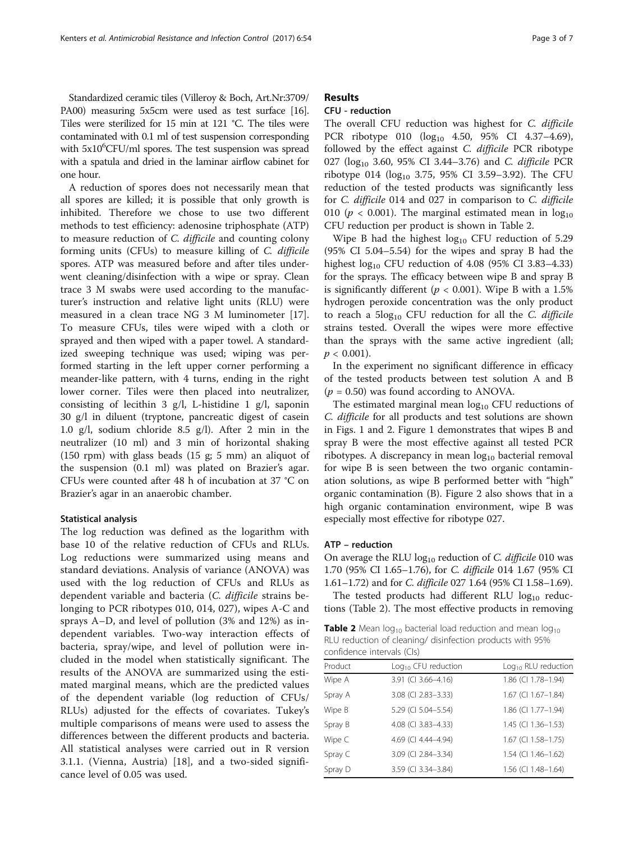Standardized ceramic tiles (Villeroy & Boch, Art.Nr:3709/ PA00) measuring 5x5cm were used as test surface [\[16](#page-6-0)]. Tiles were sterilized for 15 min at 121 °C. The tiles were contaminated with 0.1 ml of test suspension corresponding with 5x10<sup>6</sup>CFU/ml spores. The test suspension was spread with a spatula and dried in the laminar airflow cabinet for one hour.

A reduction of spores does not necessarily mean that all spores are killed; it is possible that only growth is inhibited. Therefore we chose to use two different methods to test efficiency: adenosine triphosphate (ATP) to measure reduction of C. difficile and counting colony forming units (CFUs) to measure killing of C. difficile spores. ATP was measured before and after tiles underwent cleaning/disinfection with a wipe or spray. Clean trace 3 M swabs were used according to the manufacturer's instruction and relative light units (RLU) were measured in a clean trace NG 3 M luminometer [\[17](#page-6-0)]. To measure CFUs, tiles were wiped with a cloth or sprayed and then wiped with a paper towel. A standardized sweeping technique was used; wiping was performed starting in the left upper corner performing a meander-like pattern, with 4 turns, ending in the right lower corner. Tiles were then placed into neutralizer, consisting of lecithin 3 g/l, L-histidine 1 g/l, saponin 30 g/l in diluent (tryptone, pancreatic digest of casein 1.0 g/l, sodium chloride 8.5 g/l). After 2 min in the neutralizer (10 ml) and 3 min of horizontal shaking (150 rpm) with glass beads (15 g; 5 mm) an aliquot of the suspension (0.1 ml) was plated on Brazier's agar. CFUs were counted after 48 h of incubation at 37 °C on Brazier's agar in an anaerobic chamber.

#### Statistical analysis

The log reduction was defined as the logarithm with base 10 of the relative reduction of CFUs and RLUs. Log reductions were summarized using means and standard deviations. Analysis of variance (ANOVA) was used with the log reduction of CFUs and RLUs as dependent variable and bacteria (C. difficile strains belonging to PCR ribotypes 010, 014, 027), wipes A-C and sprays A–D, and level of pollution (3% and 12%) as independent variables. Two-way interaction effects of bacteria, spray/wipe, and level of pollution were included in the model when statistically significant. The results of the ANOVA are summarized using the estimated marginal means, which are the predicted values of the dependent variable (log reduction of CFUs/ RLUs) adjusted for the effects of covariates. Tukey's multiple comparisons of means were used to assess the differences between the different products and bacteria. All statistical analyses were carried out in R version 3.1.1. (Vienna, Austria) [[18\]](#page-6-0), and a two-sided significance level of 0.05 was used.

#### Results

#### CFU - reduction

The overall CFU reduction was highest for C. difficile PCR ribotype 010  $(\log_{10} 4.50, 95\% \text{ CI} 4.37-4.69)$ , followed by the effect against C. difficile PCR ribotype 027 ( $log_{10}$  3.60, 95% CI 3.44–3.76) and C. difficile PCR ribotype 014 ( $log_{10}$  3.75, 95% CI 3.59–3.92). The CFU reduction of the tested products was significantly less for C. difficile 014 and 027 in comparison to C. difficile 010 ( $p < 0.001$ ). The marginal estimated mean in  $log_{10}$ CFU reduction per product is shown in Table 2.

Wipe B had the highest  $log_{10}$  CFU reduction of 5.29 (95% CI 5.04–5.54) for the wipes and spray B had the highest  $log_{10}$  CFU reduction of 4.08 (95% CI 3.83–4.33) for the sprays. The efficacy between wipe B and spray B is significantly different ( $p < 0.001$ ). Wipe B with a 1.5% hydrogen peroxide concentration was the only product to reach a  $5\log_{10}$  CFU reduction for all the C. difficile strains tested. Overall the wipes were more effective than the sprays with the same active ingredient (all;  $p < 0.001$ ).

In the experiment no significant difference in efficacy of the tested products between test solution A and B  $(p = 0.50)$  was found according to ANOVA.

The estimated marginal mean  $log_{10}$  CFU reductions of C. difficile for all products and test solutions are shown in Figs. [1](#page-3-0) and [2.](#page-3-0) Figure [1](#page-3-0) demonstrates that wipes B and spray B were the most effective against all tested PCR ribotypes. A discrepancy in mean  $log_{10}$  bacterial removal for wipe B is seen between the two organic contamination solutions, as wipe B performed better with "high" organic contamination (B). Figure [2](#page-3-0) also shows that in a high organic contamination environment, wipe B was especially most effective for ribotype 027.

#### ATP – reduction

On average the RLU  $log_{10}$  reduction of C. difficile 010 was 1.70 (95% CI 1.65–1.76), for C. difficile 014 1.67 (95% CI 1.61–1.72) and for C. difficile 027 1.64 (95% CI 1.58–1.69).

The tested products had different RLU  $log_{10}$  reductions (Table 2). The most effective products in removing

**Table 2** Mean  $log_{10}$  bacterial load reduction and mean  $log_{10}$ RLU reduction of cleaning/ disinfection products with 95% confidence intervals (CIs)

| Product | $Log10$ CFU reduction | $Log10$ RLU reduction |
|---------|-----------------------|-----------------------|
| Wipe A  | 3.91 (CI 3.66-4.16)   | 1.86 (CI 1.78-1.94)   |
| Spray A | 3.08 (CI 2.83-3.33)   | 1.67 (CI 1.67-1.84)   |
| Wipe B  | 5.29 (CI 5.04-5.54)   | 1.86 (CI 1.77-1.94)   |
| Spray B | 4.08 (CI 3.83-4.33)   | 1.45 (CI 1.36-1.53)   |
| Wipe C  | 4.69 (CI 4.44-4.94)   | 1.67 (CI 1.58-1.75)   |
| Spray C | 3.09 (CI 2.84-3.34)   | 1.54 (CI 1.46-1.62)   |
| Spray D | 3.59 (CI 3.34-3.84)   | 1.56 (CI 1.48-1.64)   |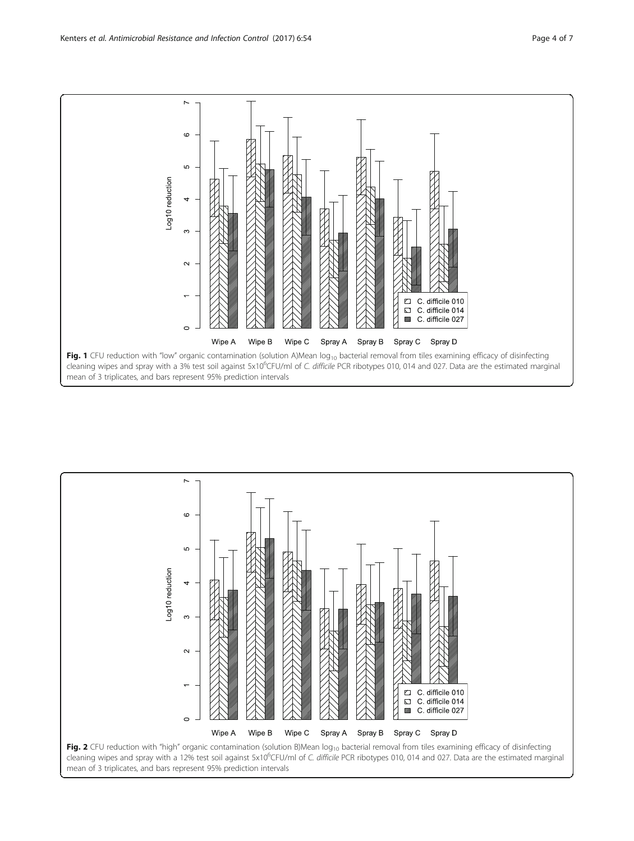<span id="page-3-0"></span>

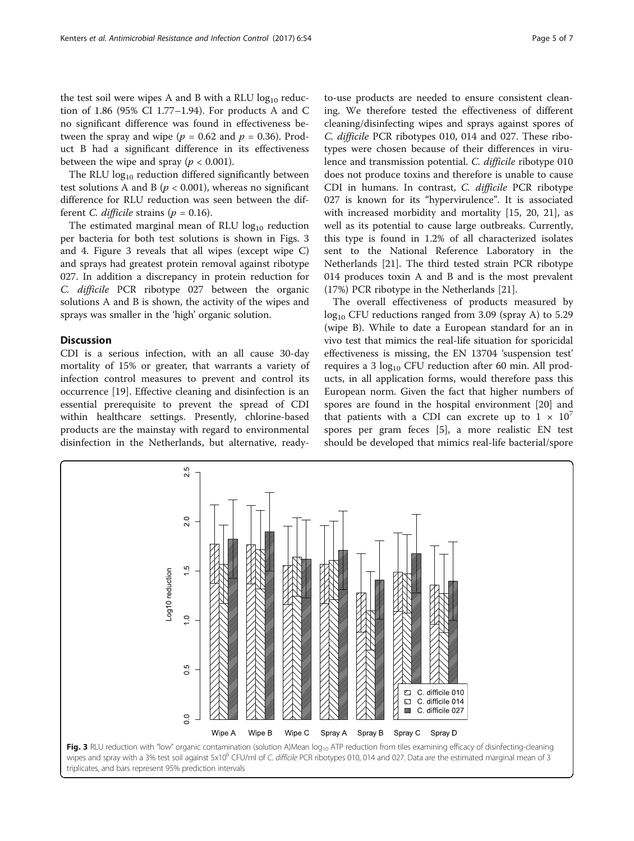the test soil were wipes A and B with a RLU  $log_{10}$  reduction of 1.86 (95% CI 1.77–1.94). For products A and C no significant difference was found in effectiveness between the spray and wipe ( $p = 0.62$  and  $p = 0.36$ ). Product B had a significant difference in its effectiveness between the wipe and spray ( $p < 0.001$ ).

The RLU  $log_{10}$  reduction differed significantly between test solutions A and B ( $p < 0.001$ ), whereas no significant difference for RLU reduction was seen between the different *C. difficile* strains ( $p = 0.16$ ).

The estimated marginal mean of RLU  $log_{10}$  reduction per bacteria for both test solutions is shown in Figs. 3 and [4](#page-5-0). Figure 3 reveals that all wipes (except wipe C) and sprays had greatest protein removal against ribotype 027. In addition a discrepancy in protein reduction for C. difficile PCR ribotype 027 between the organic solutions A and B is shown, the activity of the wipes and sprays was smaller in the 'high' organic solution.

#### **Discussion**

CDI is a serious infection, with an all cause 30-day mortality of 15% or greater, that warrants a variety of infection control measures to prevent and control its occurrence [\[19](#page-6-0)]. Effective cleaning and disinfection is an essential prerequisite to prevent the spread of CDI within healthcare settings. Presently, chlorine-based products are the mainstay with regard to environmental disinfection in the Netherlands, but alternative, ready-

to-use products are needed to ensure consistent cleaning. We therefore tested the effectiveness of different cleaning/disinfecting wipes and sprays against spores of C. difficile PCR ribotypes 010, 014 and 027. These ribotypes were chosen because of their differences in virulence and transmission potential. C. difficile ribotype 010 does not produce toxins and therefore is unable to cause CDI in humans. In contrast, C. difficile PCR ribotype 027 is known for its "hypervirulence". It is associated with increased morbidity and mortality [\[15, 20](#page-6-0), [21\]](#page-6-0), as well as its potential to cause large outbreaks. Currently, this type is found in 1.2% of all characterized isolates sent to the National Reference Laboratory in the Netherlands [\[21\]](#page-6-0). The third tested strain PCR ribotype 014 produces toxin A and B and is the most prevalent (17%) PCR ribotype in the Netherlands [\[21\]](#page-6-0).

The overall effectiveness of products measured by  $log_{10}$  CFU reductions ranged from 3.09 (spray A) to 5.29 (wipe B). While to date a European standard for an in vivo test that mimics the real-life situation for sporicidal effectiveness is missing, the EN 13704 'suspension test' requires a 3  $log_{10}$  CFU reduction after 60 min. All products, in all application forms, would therefore pass this European norm. Given the fact that higher numbers of spores are found in the hospital environment [\[20](#page-6-0)] and that patients with a CDI can excrete up to  $1 \times 10^{7}$ spores per gram feces [[5\]](#page-6-0), a more realistic EN test should be developed that mimics real-life bacterial/spore

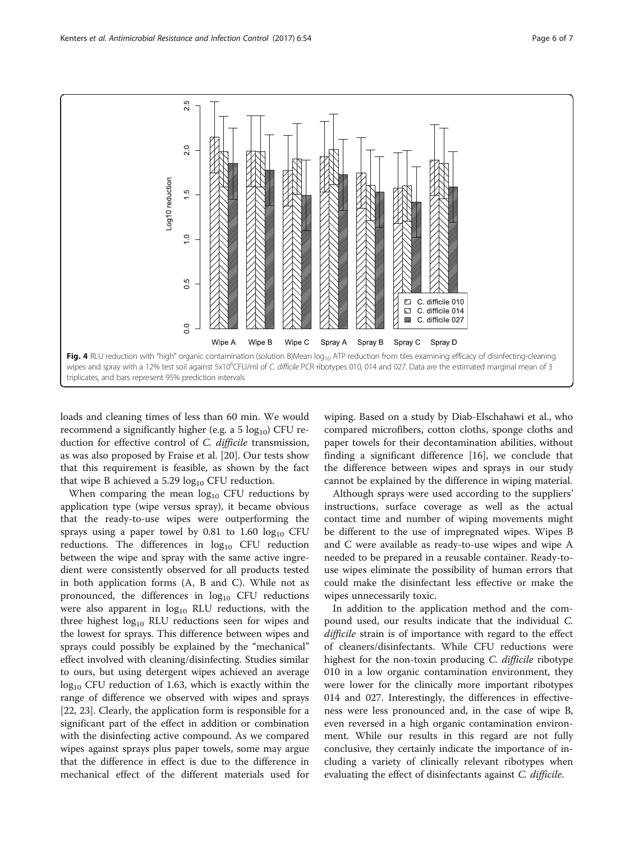<span id="page-5-0"></span>

loads and cleaning times of less than 60 min. We would recommend a significantly higher (e.g. a  $5 \log_{10}$ ) CFU reduction for effective control of C. difficile transmission, as was also proposed by Fraise et al. [\[20](#page-6-0)]. Our tests show that this requirement is feasible, as shown by the fact that wipe B achieved a 5.29  $log_{10}$  CFU reduction.

When comparing the mean  $log_{10}$  CFU reductions by application type (wipe versus spray), it became obvious that the ready-to-use wipes were outperforming the sprays using a paper towel by 0.81 to 1.60  $log_{10}$  CFU reductions. The differences in  $log_{10}$  CFU reduction between the wipe and spray with the same active ingredient were consistently observed for all products tested in both application forms (A, B and C). While not as pronounced, the differences in  $log_{10}$  CFU reductions were also apparent in  $log_{10}$  RLU reductions, with the three highest  $log_{10}$  RLU reductions seen for wipes and the lowest for sprays. This difference between wipes and sprays could possibly be explained by the "mechanical" effect involved with cleaning/disinfecting. Studies similar to ours, but using detergent wipes achieved an average  $log_{10}$  CFU reduction of 1.63, which is exactly within the range of difference we observed with wipes and sprays [[22, 23\]](#page-6-0). Clearly, the application form is responsible for a significant part of the effect in addition or combination with the disinfecting active compound. As we compared wipes against sprays plus paper towels, some may argue that the difference in effect is due to the difference in mechanical effect of the different materials used for wiping. Based on a study by Diab-Elschahawi et al., who compared microfibers, cotton cloths, sponge cloths and paper towels for their decontamination abilities, without finding a significant difference [[16\]](#page-6-0), we conclude that the difference between wipes and sprays in our study cannot be explained by the difference in wiping material.

Although sprays were used according to the suppliers' instructions, surface coverage as well as the actual contact time and number of wiping movements might be different to the use of impregnated wipes. Wipes B and C were available as ready-to-use wipes and wipe A needed to be prepared in a reusable container. Ready-touse wipes eliminate the possibility of human errors that could make the disinfectant less effective or make the wipes unnecessarily toxic.

In addition to the application method and the compound used, our results indicate that the individual C. difficile strain is of importance with regard to the effect of cleaners/disinfectants. While CFU reductions were highest for the non-toxin producing C. difficile ribotype 010 in a low organic contamination environment, they were lower for the clinically more important ribotypes 014 and 027. Interestingly, the differences in effectiveness were less pronounced and, in the case of wipe B, even reversed in a high organic contamination environment. While our results in this regard are not fully conclusive, they certainly indicate the importance of including a variety of clinically relevant ribotypes when evaluating the effect of disinfectants against *C. difficile*.